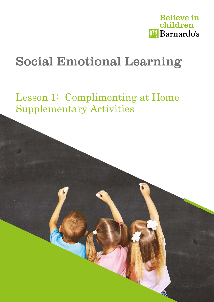

# **Social Emotional Learning**

Lesson 1: Complimenting at Home Supplementary Activities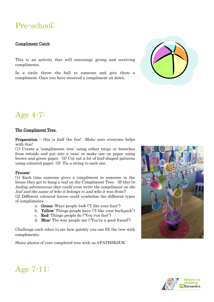## Pre-school:

#### Compliment Catch

This is an activity that will encourage giving and receiving compliments.

In a circle throw the ball to someone and give them a compliment. Once you have received a compliment sit down.



### Age 4-7:

#### The Compliment Tree.

Preparation – this is half the fun! Make sure everyone helps with this!

(1) Create a 'compliments tree' using either twigs or branches from outside and put into a vase; or make one on paper using brown and green paper. (2) Cut out a lot of leaf-shaped patterns using coloured paper. (3) Tie a string to each one.

#### Process:

(1) Each time someone gives a compliment to someone in the house they get to hang a leaf on the Compliment Tree. (If they're feeling adventurous they could even write the compliment on the leaf and the name of who it belongs to and who it was from!) (2) Different coloured leaves could symbolize the different types of compliments:

- a. Green: Ways people look ("I like your hair")
- b. Yellow: Things people have ("I like your backpack")
- c. Red: Things people do ("You run fast")
- d. Blue: The way people are ("You're a good friend")

Challenge each other to see how quickly you can fill the tree with compliments.

Share photos of your completed tree with us @PATHSEdUK





Age 7-11: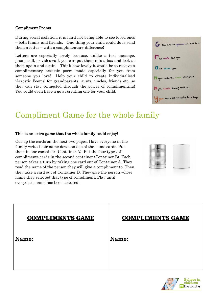#### Compliment Poems

During social isolation, it is hard not being able to see loved ones – both family and friends. One thing your child could do is send them a letter – with a complimentary difference!

Letters are especially lovely because, unlike a text message, phone-call, or video call, you can put them into a box and look at them again and again. Think how lovely it would be to receive a complimentary acrostic poem made especially for you from someone you love! Help your child to create individualised 'Acrostic Poems' for grandparents, aunts, uncles, friends etc. so they can stay connected through the power of complimenting! You could even have a go at creating one for your child.



## Compliment Game for the whole family

#### This is an extra game that the whole family could enjoy!

Cut up the cards on the next two pages. Have everyone in the family write their name down on one of the name cards. Put them in one container (Container A). Put the four types of compliments cards in the second container (Container B). Each person takes a turn by taking one card out of Container A. They read the name of the person they will give a compliment to. Then they take a card out of Container B. They give the person whose name they selected that type of compliment. Play until everyone's name has been selected.

|                   |  | <b>STATISTICS</b><br>---- |
|-------------------|--|---------------------------|
| ٠<br>-<br>-       |  |                           |
| œ<br><b>RAN</b>   |  |                           |
| Ē<br>œ<br>m<br>۰. |  |                           |
| --                |  |                           |
|                   |  |                           |

| <b>COMPLIMENTS GAME</b> | <b>COMPLIMENTS GAME</b> |
|-------------------------|-------------------------|
| Name:                   | Name:                   |
|                         |                         |

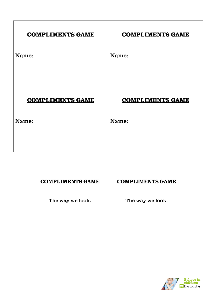| <b>COMPLIMENTS GAME</b> | <b>COMPLIMENTS GAME</b> |
|-------------------------|-------------------------|
| Name:                   | Name:                   |
|                         |                         |
| <b>COMPLIMENTS GAME</b> | <b>COMPLIMENTS GAME</b> |
| Name:                   | Name:                   |
|                         |                         |
|                         |                         |

| <b>COMPLIMENTS GAME</b> | <b>COMPLIMENTS GAME</b> |
|-------------------------|-------------------------|
| The way we look.        | The way we look.        |
|                         |                         |